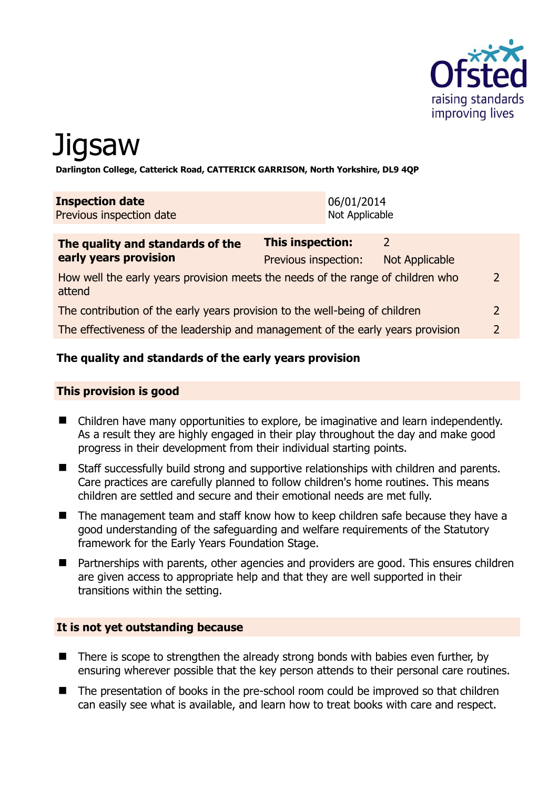

# Jigsaw

**Darlington College, Catterick Road, CATTERICK GARRISON, North Yorkshire, DL9 4QP** 

| <b>Inspection date</b><br>Previous inspection date | 06/01/2014<br>Not Applicable |  |  |
|----------------------------------------------------|------------------------------|--|--|
|                                                    |                              |  |  |
| The quality and standards of the                   | <b>This inspection:</b>      |  |  |

| <u>The gaanty and standards of the </u>                                                   |                      |                |               |
|-------------------------------------------------------------------------------------------|----------------------|----------------|---------------|
| early years provision                                                                     | Previous inspection: | Not Applicable |               |
| How well the early years provision meets the needs of the range of children who<br>attend |                      |                | $\mathcal{P}$ |
| The contribution of the early years provision to the well-being of children               |                      |                |               |
| The effectiveness of the leadership and management of the early years provision           |                      |                | $\mathcal{D}$ |

# **The quality and standards of the early years provision**

#### **This provision is good**

- Children have many opportunities to explore, be imaginative and learn independently. As a result they are highly engaged in their play throughout the day and make good progress in their development from their individual starting points.
- Staff successfully build strong and supportive relationships with children and parents. Care practices are carefully planned to follow children's home routines. This means children are settled and secure and their emotional needs are met fully.
- The management team and staff know how to keep children safe because they have a good understanding of the safeguarding and welfare requirements of the Statutory framework for the Early Years Foundation Stage.
- **Partnerships with parents, other agencies and providers are good. This ensures children** are given access to appropriate help and that they are well supported in their transitions within the setting.

#### **It is not yet outstanding because**

- There is scope to strengthen the already strong bonds with babies even further, by ensuring wherever possible that the key person attends to their personal care routines.
- The presentation of books in the pre-school room could be improved so that children can easily see what is available, and learn how to treat books with care and respect.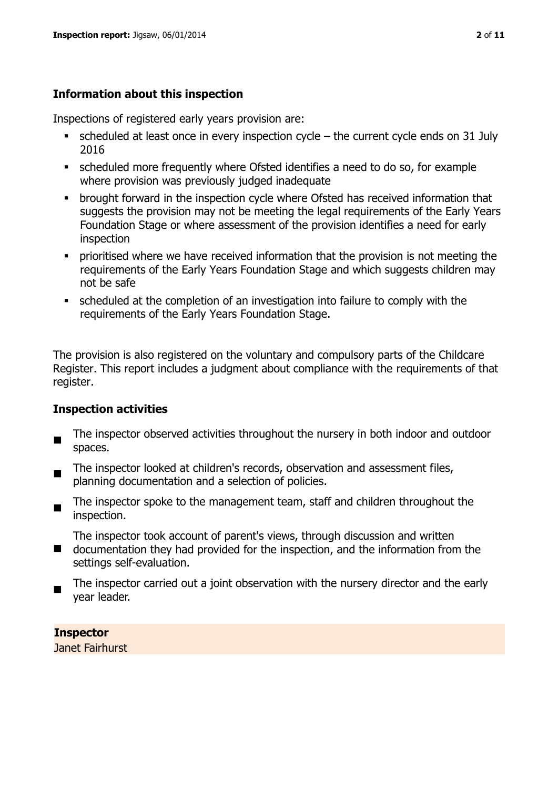# **Information about this inspection**

Inspections of registered early years provision are:

- $\bullet$  scheduled at least once in every inspection cycle the current cycle ends on 31 July 2016
- scheduled more frequently where Ofsted identifies a need to do so, for example where provision was previously judged inadequate
- **•** brought forward in the inspection cycle where Ofsted has received information that suggests the provision may not be meeting the legal requirements of the Early Years Foundation Stage or where assessment of the provision identifies a need for early inspection
- **•** prioritised where we have received information that the provision is not meeting the requirements of the Early Years Foundation Stage and which suggests children may not be safe
- scheduled at the completion of an investigation into failure to comply with the requirements of the Early Years Foundation Stage.

The provision is also registered on the voluntary and compulsory parts of the Childcare Register. This report includes a judgment about compliance with the requirements of that register.

# **Inspection activities**

- $\blacksquare$ The inspector observed activities throughout the nursery in both indoor and outdoor spaces.
- The inspector looked at children's records, observation and assessment files, planning documentation and a selection of policies.
- $\blacksquare$ The inspector spoke to the management team, staff and children throughout the inspection.

The inspector took account of parent's views, through discussion and written

- $\blacksquare$ documentation they had provided for the inspection, and the information from the settings self-evaluation.
- The inspector carried out a joint observation with the nursery director and the early year leader.

**Inspector**  Janet Fairhurst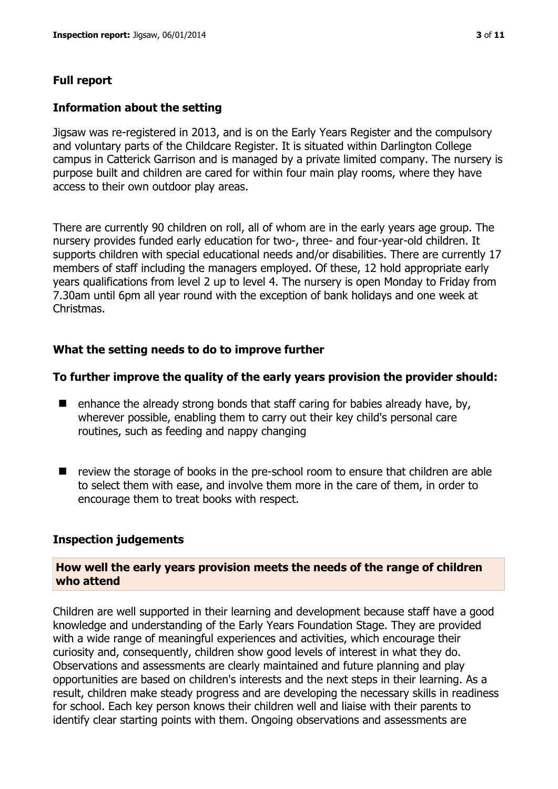# **Full report**

#### **Information about the setting**

Jigsaw was re-registered in 2013, and is on the Early Years Register and the compulsory and voluntary parts of the Childcare Register. It is situated within Darlington College campus in Catterick Garrison and is managed by a private limited company. The nursery is purpose built and children are cared for within four main play rooms, where they have access to their own outdoor play areas.

There are currently 90 children on roll, all of whom are in the early years age group. The nursery provides funded early education for two-, three- and four-year-old children. It supports children with special educational needs and/or disabilities. There are currently 17 members of staff including the managers employed. Of these, 12 hold appropriate early years qualifications from level 2 up to level 4. The nursery is open Monday to Friday from 7.30am until 6pm all year round with the exception of bank holidays and one week at Christmas.

# **What the setting needs to do to improve further**

#### **To further improve the quality of the early years provision the provider should:**

- $\blacksquare$  enhance the already strong bonds that staff caring for babies already have, by, wherever possible, enabling them to carry out their key child's personal care routines, such as feeding and nappy changing
- review the storage of books in the pre-school room to ensure that children are able to select them with ease, and involve them more in the care of them, in order to encourage them to treat books with respect.

#### **Inspection judgements**

#### **How well the early years provision meets the needs of the range of children who attend**

Children are well supported in their learning and development because staff have a good knowledge and understanding of the Early Years Foundation Stage. They are provided with a wide range of meaningful experiences and activities, which encourage their curiosity and, consequently, children show good levels of interest in what they do. Observations and assessments are clearly maintained and future planning and play opportunities are based on children's interests and the next steps in their learning. As a result, children make steady progress and are developing the necessary skills in readiness for school. Each key person knows their children well and liaise with their parents to identify clear starting points with them. Ongoing observations and assessments are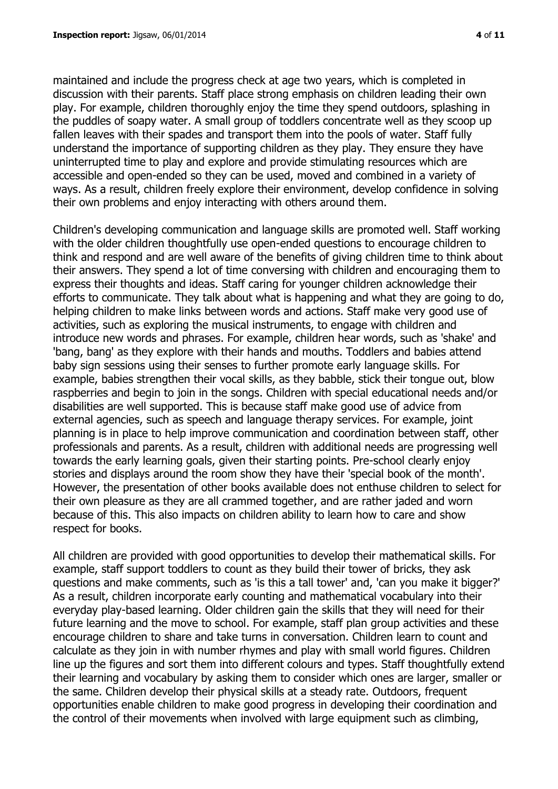maintained and include the progress check at age two years, which is completed in discussion with their parents. Staff place strong emphasis on children leading their own play. For example, children thoroughly enjoy the time they spend outdoors, splashing in the puddles of soapy water. A small group of toddlers concentrate well as they scoop up fallen leaves with their spades and transport them into the pools of water. Staff fully understand the importance of supporting children as they play. They ensure they have uninterrupted time to play and explore and provide stimulating resources which are accessible and open-ended so they can be used, moved and combined in a variety of ways. As a result, children freely explore their environment, develop confidence in solving their own problems and enjoy interacting with others around them.

Children's developing communication and language skills are promoted well. Staff working with the older children thoughtfully use open-ended questions to encourage children to think and respond and are well aware of the benefits of giving children time to think about their answers. They spend a lot of time conversing with children and encouraging them to express their thoughts and ideas. Staff caring for younger children acknowledge their efforts to communicate. They talk about what is happening and what they are going to do, helping children to make links between words and actions. Staff make very good use of activities, such as exploring the musical instruments, to engage with children and introduce new words and phrases. For example, children hear words, such as 'shake' and 'bang, bang' as they explore with their hands and mouths. Toddlers and babies attend baby sign sessions using their senses to further promote early language skills. For example, babies strengthen their vocal skills, as they babble, stick their tongue out, blow raspberries and begin to join in the songs. Children with special educational needs and/or disabilities are well supported. This is because staff make good use of advice from external agencies, such as speech and language therapy services. For example, joint planning is in place to help improve communication and coordination between staff, other professionals and parents. As a result, children with additional needs are progressing well towards the early learning goals, given their starting points. Pre-school clearly enjoy stories and displays around the room show they have their 'special book of the month'. However, the presentation of other books available does not enthuse children to select for their own pleasure as they are all crammed together, and are rather jaded and worn because of this. This also impacts on children ability to learn how to care and show respect for books.

All children are provided with good opportunities to develop their mathematical skills. For example, staff support toddlers to count as they build their tower of bricks, they ask questions and make comments, such as 'is this a tall tower' and, 'can you make it bigger?' As a result, children incorporate early counting and mathematical vocabulary into their everyday play-based learning. Older children gain the skills that they will need for their future learning and the move to school. For example, staff plan group activities and these encourage children to share and take turns in conversation. Children learn to count and calculate as they join in with number rhymes and play with small world figures. Children line up the figures and sort them into different colours and types. Staff thoughtfully extend their learning and vocabulary by asking them to consider which ones are larger, smaller or the same. Children develop their physical skills at a steady rate. Outdoors, frequent opportunities enable children to make good progress in developing their coordination and the control of their movements when involved with large equipment such as climbing,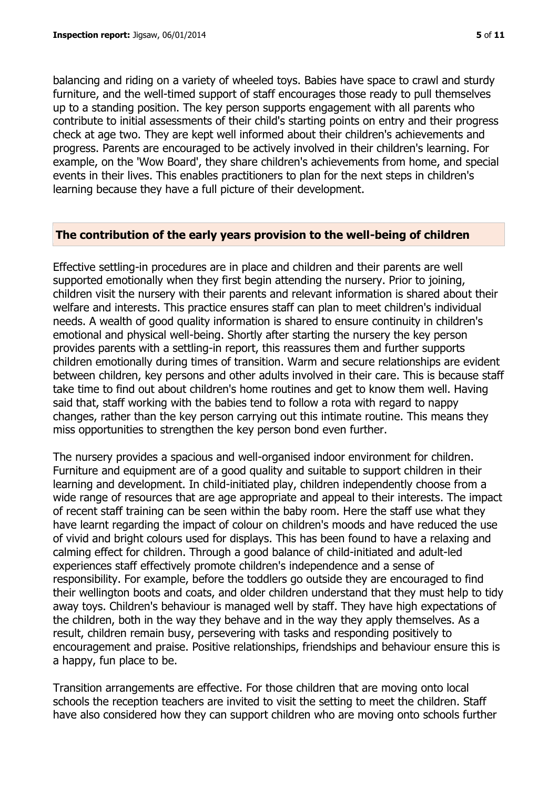balancing and riding on a variety of wheeled toys. Babies have space to crawl and sturdy furniture, and the well-timed support of staff encourages those ready to pull themselves up to a standing position. The key person supports engagement with all parents who contribute to initial assessments of their child's starting points on entry and their progress check at age two. They are kept well informed about their children's achievements and progress. Parents are encouraged to be actively involved in their children's learning. For example, on the 'Wow Board', they share children's achievements from home, and special events in their lives. This enables practitioners to plan for the next steps in children's learning because they have a full picture of their development.

#### **The contribution of the early years provision to the well-being of children**

Effective settling-in procedures are in place and children and their parents are well supported emotionally when they first begin attending the nursery. Prior to joining, children visit the nursery with their parents and relevant information is shared about their welfare and interests. This practice ensures staff can plan to meet children's individual needs. A wealth of good quality information is shared to ensure continuity in children's emotional and physical well-being. Shortly after starting the nursery the key person provides parents with a settling-in report, this reassures them and further supports children emotionally during times of transition. Warm and secure relationships are evident between children, key persons and other adults involved in their care. This is because staff take time to find out about children's home routines and get to know them well. Having said that, staff working with the babies tend to follow a rota with regard to nappy changes, rather than the key person carrying out this intimate routine. This means they miss opportunities to strengthen the key person bond even further.

The nursery provides a spacious and well-organised indoor environment for children. Furniture and equipment are of a good quality and suitable to support children in their learning and development. In child-initiated play, children independently choose from a wide range of resources that are age appropriate and appeal to their interests. The impact of recent staff training can be seen within the baby room. Here the staff use what they have learnt regarding the impact of colour on children's moods and have reduced the use of vivid and bright colours used for displays. This has been found to have a relaxing and calming effect for children. Through a good balance of child-initiated and adult-led experiences staff effectively promote children's independence and a sense of responsibility. For example, before the toddlers go outside they are encouraged to find their wellington boots and coats, and older children understand that they must help to tidy away toys. Children's behaviour is managed well by staff. They have high expectations of the children, both in the way they behave and in the way they apply themselves. As a result, children remain busy, persevering with tasks and responding positively to encouragement and praise. Positive relationships, friendships and behaviour ensure this is a happy, fun place to be.

Transition arrangements are effective. For those children that are moving onto local schools the reception teachers are invited to visit the setting to meet the children. Staff have also considered how they can support children who are moving onto schools further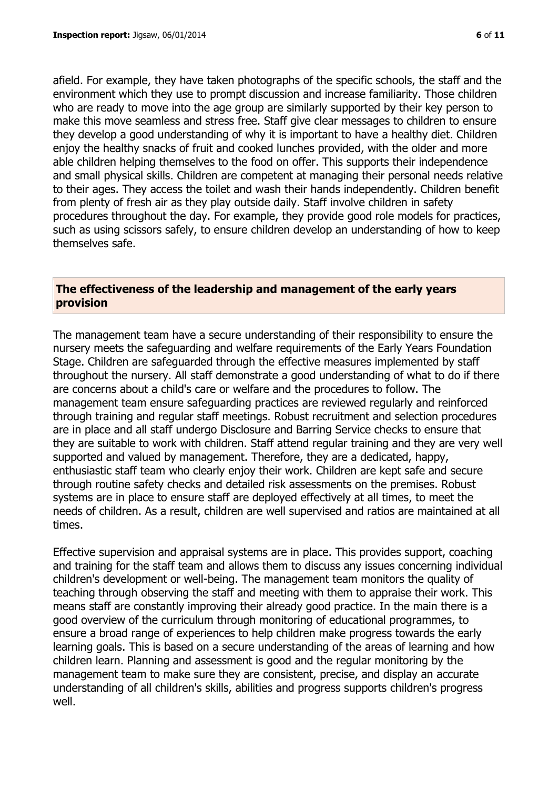afield. For example, they have taken photographs of the specific schools, the staff and the environment which they use to prompt discussion and increase familiarity. Those children who are ready to move into the age group are similarly supported by their key person to make this move seamless and stress free. Staff give clear messages to children to ensure they develop a good understanding of why it is important to have a healthy diet. Children enjoy the healthy snacks of fruit and cooked lunches provided, with the older and more able children helping themselves to the food on offer. This supports their independence and small physical skills. Children are competent at managing their personal needs relative to their ages. They access the toilet and wash their hands independently. Children benefit from plenty of fresh air as they play outside daily. Staff involve children in safety procedures throughout the day. For example, they provide good role models for practices, such as using scissors safely, to ensure children develop an understanding of how to keep themselves safe.

#### **The effectiveness of the leadership and management of the early years provision**

The management team have a secure understanding of their responsibility to ensure the nursery meets the safeguarding and welfare requirements of the Early Years Foundation Stage. Children are safeguarded through the effective measures implemented by staff throughout the nursery. All staff demonstrate a good understanding of what to do if there are concerns about a child's care or welfare and the procedures to follow. The management team ensure safeguarding practices are reviewed regularly and reinforced through training and regular staff meetings. Robust recruitment and selection procedures are in place and all staff undergo Disclosure and Barring Service checks to ensure that they are suitable to work with children. Staff attend regular training and they are very well supported and valued by management. Therefore, they are a dedicated, happy, enthusiastic staff team who clearly enjoy their work. Children are kept safe and secure through routine safety checks and detailed risk assessments on the premises. Robust systems are in place to ensure staff are deployed effectively at all times, to meet the needs of children. As a result, children are well supervised and ratios are maintained at all times.

Effective supervision and appraisal systems are in place. This provides support, coaching and training for the staff team and allows them to discuss any issues concerning individual children's development or well-being. The management team monitors the quality of teaching through observing the staff and meeting with them to appraise their work. This means staff are constantly improving their already good practice. In the main there is a good overview of the curriculum through monitoring of educational programmes, to ensure a broad range of experiences to help children make progress towards the early learning goals. This is based on a secure understanding of the areas of learning and how children learn. Planning and assessment is good and the regular monitoring by the management team to make sure they are consistent, precise, and display an accurate understanding of all children's skills, abilities and progress supports children's progress well.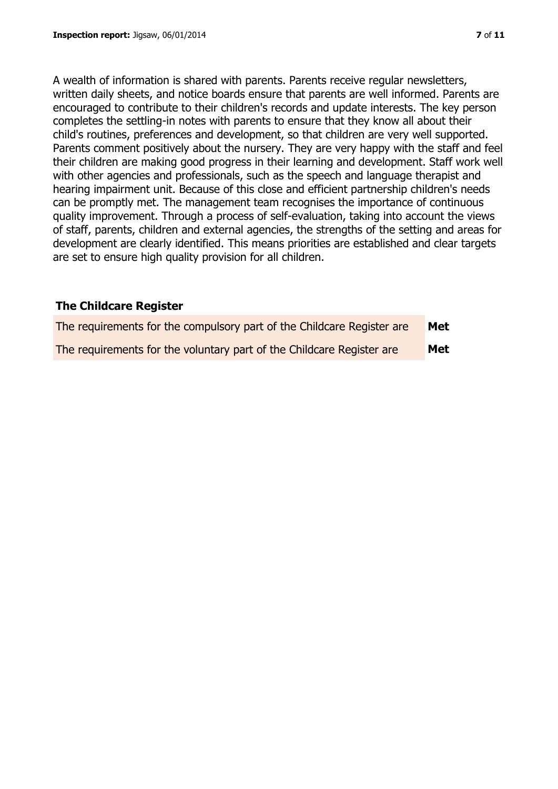A wealth of information is shared with parents. Parents receive regular newsletters, written daily sheets, and notice boards ensure that parents are well informed. Parents are encouraged to contribute to their children's records and update interests. The key person completes the settling-in notes with parents to ensure that they know all about their child's routines, preferences and development, so that children are very well supported. Parents comment positively about the nursery. They are very happy with the staff and feel their children are making good progress in their learning and development. Staff work well with other agencies and professionals, such as the speech and language therapist and hearing impairment unit. Because of this close and efficient partnership children's needs can be promptly met. The management team recognises the importance of continuous quality improvement. Through a process of self-evaluation, taking into account the views of staff, parents, children and external agencies, the strengths of the setting and areas for development are clearly identified. This means priorities are established and clear targets are set to ensure high quality provision for all children.

# **The Childcare Register**

| The requirements for the compulsory part of the Childcare Register are | Met        |
|------------------------------------------------------------------------|------------|
| The requirements for the voluntary part of the Childcare Register are  | <b>Met</b> |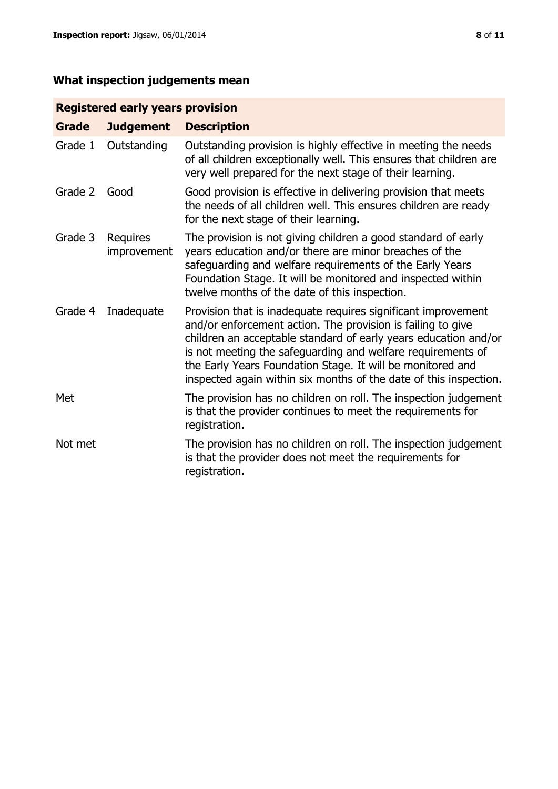# **What inspection judgements mean**

# **Registered early years provision**

| <b>Grade</b> | <b>Judgement</b>               | <b>Description</b>                                                                                                                                                                                                                                                                                                                                                                                |
|--------------|--------------------------------|---------------------------------------------------------------------------------------------------------------------------------------------------------------------------------------------------------------------------------------------------------------------------------------------------------------------------------------------------------------------------------------------------|
| Grade 1      | Outstanding                    | Outstanding provision is highly effective in meeting the needs<br>of all children exceptionally well. This ensures that children are<br>very well prepared for the next stage of their learning.                                                                                                                                                                                                  |
| Grade 2      | Good                           | Good provision is effective in delivering provision that meets<br>the needs of all children well. This ensures children are ready<br>for the next stage of their learning.                                                                                                                                                                                                                        |
| Grade 3      | <b>Requires</b><br>improvement | The provision is not giving children a good standard of early<br>years education and/or there are minor breaches of the<br>safeguarding and welfare requirements of the Early Years<br>Foundation Stage. It will be monitored and inspected within<br>twelve months of the date of this inspection.                                                                                               |
| Grade 4      | Inadequate                     | Provision that is inadequate requires significant improvement<br>and/or enforcement action. The provision is failing to give<br>children an acceptable standard of early years education and/or<br>is not meeting the safeguarding and welfare requirements of<br>the Early Years Foundation Stage. It will be monitored and<br>inspected again within six months of the date of this inspection. |
| Met          |                                | The provision has no children on roll. The inspection judgement<br>is that the provider continues to meet the requirements for<br>registration.                                                                                                                                                                                                                                                   |
| Not met      |                                | The provision has no children on roll. The inspection judgement<br>is that the provider does not meet the requirements for<br>registration.                                                                                                                                                                                                                                                       |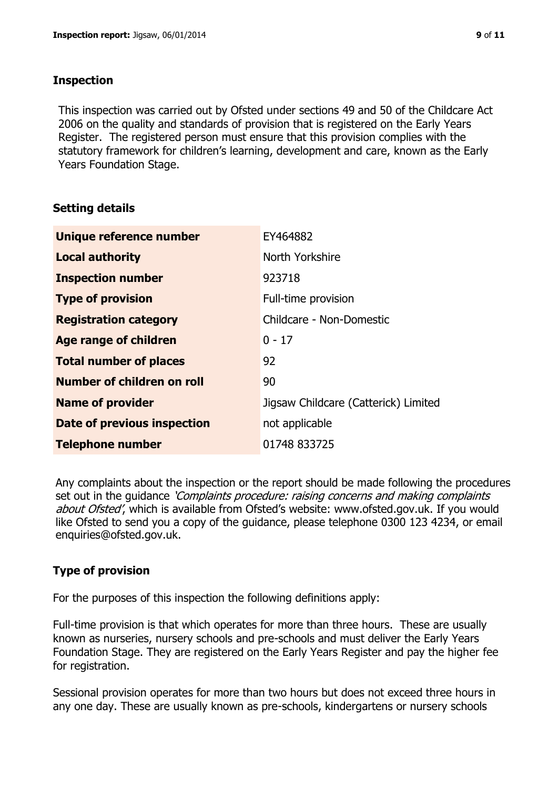#### **Inspection**

This inspection was carried out by Ofsted under sections 49 and 50 of the Childcare Act 2006 on the quality and standards of provision that is registered on the Early Years Register. The registered person must ensure that this provision complies with the statutory framework for children's learning, development and care, known as the Early Years Foundation Stage.

# **Setting details**

| Unique reference number           | EY464882                             |  |
|-----------------------------------|--------------------------------------|--|
| <b>Local authority</b>            | North Yorkshire                      |  |
| <b>Inspection number</b>          | 923718                               |  |
| <b>Type of provision</b>          | Full-time provision                  |  |
| <b>Registration category</b>      | Childcare - Non-Domestic             |  |
| Age range of children             | $0 - 17$                             |  |
| <b>Total number of places</b>     | 92                                   |  |
| <b>Number of children on roll</b> | 90                                   |  |
| <b>Name of provider</b>           | Jigsaw Childcare (Catterick) Limited |  |
| Date of previous inspection       | not applicable                       |  |
| <b>Telephone number</b>           | 01748 833725                         |  |

Any complaints about the inspection or the report should be made following the procedures set out in the guidance *'Complaints procedure: raising concerns and making complaints* about Ofsted', which is available from Ofsted's website: www.ofsted.gov.uk. If you would like Ofsted to send you a copy of the guidance, please telephone 0300 123 4234, or email enquiries@ofsted.gov.uk.

# **Type of provision**

For the purposes of this inspection the following definitions apply:

Full-time provision is that which operates for more than three hours. These are usually known as nurseries, nursery schools and pre-schools and must deliver the Early Years Foundation Stage. They are registered on the Early Years Register and pay the higher fee for registration.

Sessional provision operates for more than two hours but does not exceed three hours in any one day. These are usually known as pre-schools, kindergartens or nursery schools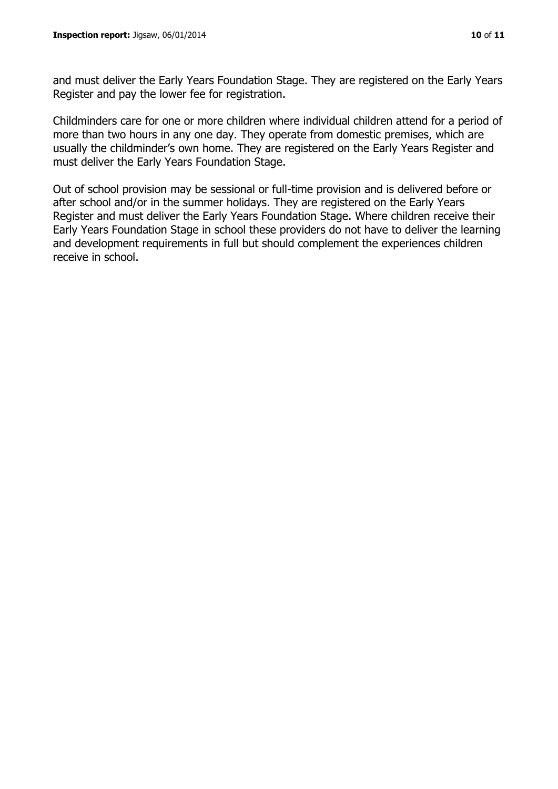and must deliver the Early Years Foundation Stage. They are registered on the Early Years Register and pay the lower fee for registration.

Childminders care for one or more children where individual children attend for a period of more than two hours in any one day. They operate from domestic premises, which are usually the childminder's own home. They are registered on the Early Years Register and must deliver the Early Years Foundation Stage.

Out of school provision may be sessional or full-time provision and is delivered before or after school and/or in the summer holidays. They are registered on the Early Years Register and must deliver the Early Years Foundation Stage. Where children receive their Early Years Foundation Stage in school these providers do not have to deliver the learning and development requirements in full but should complement the experiences children receive in school.